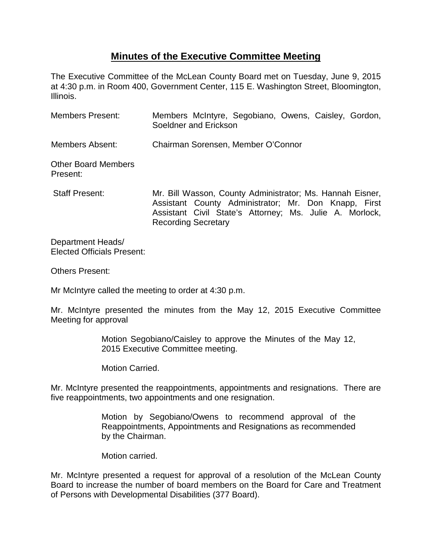## **Minutes of the Executive Committee Meeting**

The Executive Committee of the McLean County Board met on Tuesday, June 9, 2015 at 4:30 p.m. in Room 400, Government Center, 115 E. Washington Street, Bloomington, Illinois.

| <b>Members Present:</b>                | Members McIntyre, Segobiano, Owens, Caisley, Gordon,<br>Soeldner and Erickson                                                                                                |  |  |  |
|----------------------------------------|------------------------------------------------------------------------------------------------------------------------------------------------------------------------------|--|--|--|
| <b>Members Absent:</b>                 | Chairman Sorensen, Member O'Connor                                                                                                                                           |  |  |  |
| <b>Other Board Members</b><br>Present: |                                                                                                                                                                              |  |  |  |
| <b>Staff Present:</b>                  | Mr. Bill Wasson, County Administrator; Ms. Hannah Eisner,<br>Assistant County Administrator; Mr. Don Knapp, First<br>Assistant Civil State's Attorney; Ms. Julie A. Morlock, |  |  |  |

Recording Secretary

Department Heads/ Elected Officials Present:

Others Present:

Mr McIntyre called the meeting to order at 4:30 p.m.

Mr. McIntyre presented the minutes from the May 12, 2015 Executive Committee Meeting for approval

> Motion Segobiano/Caisley to approve the Minutes of the May 12, 2015 Executive Committee meeting.

Motion Carried.

Mr. McIntyre presented the reappointments, appointments and resignations. There are five reappointments, two appointments and one resignation.

> Motion by Segobiano/Owens to recommend approval of the Reappointments, Appointments and Resignations as recommended by the Chairman.

Motion carried.

Mr. McIntyre presented a request for approval of a resolution of the McLean County Board to increase the number of board members on the Board for Care and Treatment of Persons with Developmental Disabilities (377 Board).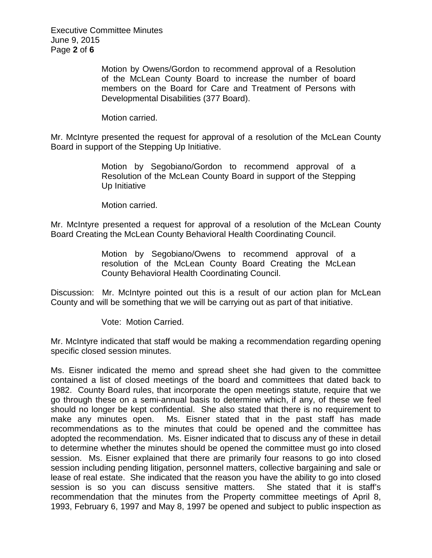Executive Committee Minutes June 9, 2015 Page **2** of **6**

> Motion by Owens/Gordon to recommend approval of a Resolution of the McLean County Board to increase the number of board members on the Board for Care and Treatment of Persons with Developmental Disabilities (377 Board).

Motion carried.

Mr. McIntyre presented the request for approval of a resolution of the McLean County Board in support of the Stepping Up Initiative.

> Motion by Segobiano/Gordon to recommend approval of a Resolution of the McLean County Board in support of the Stepping Up Initiative

Motion carried.

Mr. McIntyre presented a request for approval of a resolution of the McLean County Board Creating the McLean County Behavioral Health Coordinating Council.

> Motion by Segobiano/Owens to recommend approval of a resolution of the McLean County Board Creating the McLean County Behavioral Health Coordinating Council.

Discussion: Mr. McIntyre pointed out this is a result of our action plan for McLean County and will be something that we will be carrying out as part of that initiative.

Vote: Motion Carried.

Mr. McIntyre indicated that staff would be making a recommendation regarding opening specific closed session minutes.

Ms. Eisner indicated the memo and spread sheet she had given to the committee contained a list of closed meetings of the board and committees that dated back to 1982. County Board rules, that incorporate the open meetings statute, require that we go through these on a semi-annual basis to determine which, if any, of these we feel should no longer be kept confidential. She also stated that there is no requirement to make any minutes open. Ms. Eisner stated that in the past staff has made recommendations as to the minutes that could be opened and the committee has adopted the recommendation. Ms. Eisner indicated that to discuss any of these in detail to determine whether the minutes should be opened the committee must go into closed session. Ms. Eisner explained that there are primarily four reasons to go into closed session including pending litigation, personnel matters, collective bargaining and sale or lease of real estate. She indicated that the reason you have the ability to go into closed session is so you can discuss sensitive matters. She stated that it is staff's recommendation that the minutes from the Property committee meetings of April 8, 1993, February 6, 1997 and May 8, 1997 be opened and subject to public inspection as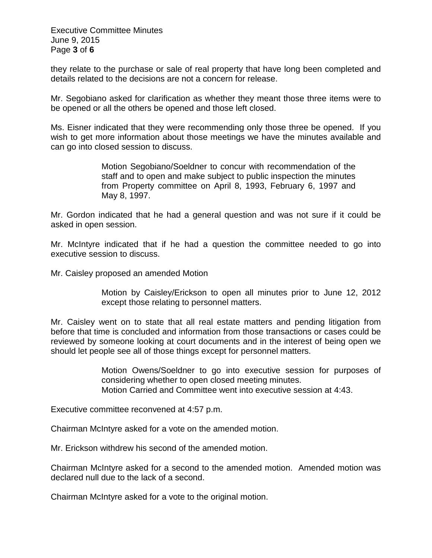Executive Committee Minutes June 9, 2015 Page **3** of **6**

they relate to the purchase or sale of real property that have long been completed and details related to the decisions are not a concern for release.

Mr. Segobiano asked for clarification as whether they meant those three items were to be opened or all the others be opened and those left closed.

Ms. Eisner indicated that they were recommending only those three be opened. If you wish to get more information about those meetings we have the minutes available and can go into closed session to discuss.

> Motion Segobiano/Soeldner to concur with recommendation of the staff and to open and make subject to public inspection the minutes from Property committee on April 8, 1993, February 6, 1997 and May 8, 1997.

Mr. Gordon indicated that he had a general question and was not sure if it could be asked in open session.

Mr. McIntyre indicated that if he had a question the committee needed to go into executive session to discuss.

Mr. Caisley proposed an amended Motion

Motion by Caisley/Erickson to open all minutes prior to June 12, 2012 except those relating to personnel matters.

Mr. Caisley went on to state that all real estate matters and pending litigation from before that time is concluded and information from those transactions or cases could be reviewed by someone looking at court documents and in the interest of being open we should let people see all of those things except for personnel matters.

> Motion Owens/Soeldner to go into executive session for purposes of considering whether to open closed meeting minutes. Motion Carried and Committee went into executive session at 4:43.

Executive committee reconvened at 4:57 p.m.

Chairman McIntyre asked for a vote on the amended motion.

Mr. Erickson withdrew his second of the amended motion.

Chairman McIntyre asked for a second to the amended motion. Amended motion was declared null due to the lack of a second.

Chairman McIntyre asked for a vote to the original motion.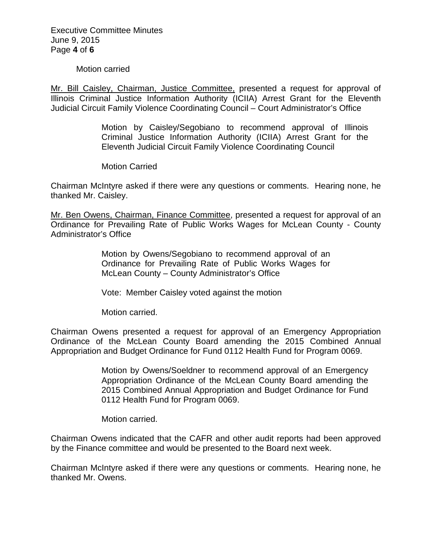Executive Committee Minutes June 9, 2015 Page **4** of **6**

Motion carried

Mr. Bill Caisley, Chairman, Justice Committee, presented a request for approval of Illinois Criminal Justice Information Authority (ICIIA) Arrest Grant for the Eleventh Judicial Circuit Family Violence Coordinating Council – Court Administrator's Office

> Motion by Caisley/Segobiano to recommend approval of Illinois Criminal Justice Information Authority (ICIIA) Arrest Grant for the Eleventh Judicial Circuit Family Violence Coordinating Council

Motion Carried

Chairman McIntyre asked if there were any questions or comments. Hearing none, he thanked Mr. Caisley.

Mr. Ben Owens, Chairman, Finance Committee, presented a request for approval of an Ordinance for Prevailing Rate of Public Works Wages for McLean County - County Administrator's Office

> Motion by Owens/Segobiano to recommend approval of an Ordinance for Prevailing Rate of Public Works Wages for McLean County – County Administrator's Office

Vote: Member Caisley voted against the motion

Motion carried.

Chairman Owens presented a request for approval of an Emergency Appropriation Ordinance of the McLean County Board amending the 2015 Combined Annual Appropriation and Budget Ordinance for Fund 0112 Health Fund for Program 0069.

> Motion by Owens/Soeldner to recommend approval of an Emergency Appropriation Ordinance of the McLean County Board amending the 2015 Combined Annual Appropriation and Budget Ordinance for Fund 0112 Health Fund for Program 0069.

Motion carried.

Chairman Owens indicated that the CAFR and other audit reports had been approved by the Finance committee and would be presented to the Board next week.

Chairman McIntyre asked if there were any questions or comments. Hearing none, he thanked Mr. Owens.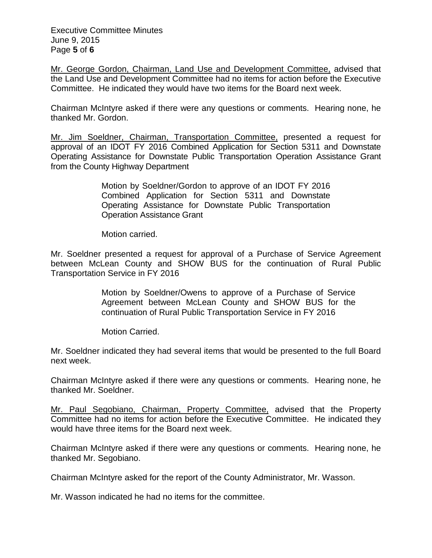Executive Committee Minutes June 9, 2015 Page **5** of **6**

Mr. George Gordon, Chairman, Land Use and Development Committee, advised that the Land Use and Development Committee had no items for action before the Executive Committee. He indicated they would have two items for the Board next week.

Chairman McIntyre asked if there were any questions or comments. Hearing none, he thanked Mr. Gordon.

Mr. Jim Soeldner, Chairman, Transportation Committee, presented a request for approval of an IDOT FY 2016 Combined Application for Section 5311 and Downstate Operating Assistance for Downstate Public Transportation Operation Assistance Grant from the County Highway Department

> Motion by Soeldner/Gordon to approve of an IDOT FY 2016 Combined Application for Section 5311 and Downstate Operating Assistance for Downstate Public Transportation Operation Assistance Grant

Motion carried.

Mr. Soeldner presented a request for approval of a Purchase of Service Agreement between McLean County and SHOW BUS for the continuation of Rural Public Transportation Service in FY 2016

> Motion by Soeldner/Owens to approve of a Purchase of Service Agreement between McLean County and SHOW BUS for the continuation of Rural Public Transportation Service in FY 2016

Motion Carried.

Mr. Soeldner indicated they had several items that would be presented to the full Board next week.

Chairman McIntyre asked if there were any questions or comments. Hearing none, he thanked Mr. Soeldner.

Mr. Paul Segobiano, Chairman, Property Committee, advised that the Property Committee had no items for action before the Executive Committee. He indicated they would have three items for the Board next week.

Chairman McIntyre asked if there were any questions or comments. Hearing none, he thanked Mr. Segobiano.

Chairman McIntyre asked for the report of the County Administrator, Mr. Wasson.

Mr. Wasson indicated he had no items for the committee.